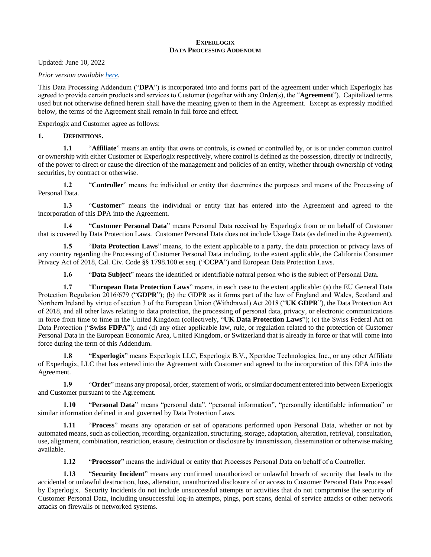#### **EXPERLOGIX DATA PROCESSING ADDENDUM**

Updated: June 10, 2022

*Prior version available [here.](https://www.experlogix.com/wp-content/uploads/2021/05/Experlogix-Data-Processing-Addendum-2021.pdf)*

This Data Processing Addendum ("**DPA**") is incorporated into and forms part of the agreement under which Experlogix has agreed to provide certain products and services to Customer (together with any Order(s), the "**Agreement**"). Capitalized terms used but not otherwise defined herein shall have the meaning given to them in the Agreement. Except as expressly modified below, the terms of the Agreement shall remain in full force and effect.

Experlogix and Customer agree as follows:

## **1. DEFINITIONS.**

**1.1** "**Affiliate**" means an entity that owns or controls, is owned or controlled by, or is or under common control or ownership with either Customer or Experlogix respectively, where control is defined as the possession, directly or indirectly, of the power to direct or cause the direction of the management and policies of an entity, whether through ownership of voting securities, by contract or otherwise.

**1.2** "**Controller**" means the individual or entity that determines the purposes and means of the Processing of Personal Data.

**1.3** "**Customer**" means the individual or entity that has entered into the Agreement and agreed to the incorporation of this DPA into the Agreement.

**1.4** "**Customer Personal Data**" means Personal Data received by Experlogix from or on behalf of Customer that is covered by Data Protection Laws. Customer Personal Data does not include Usage Data (as defined in the Agreement).

**1.5** "**Data Protection Laws**" means, to the extent applicable to a party, the data protection or privacy laws of any country regarding the Processing of Customer Personal Data including, to the extent applicable, the California Consumer Privacy Act of 2018, Cal. Civ. Code §§ 1798.100 et seq. ("**CCPA**") and European Data Protection Laws.

**1.6** "**Data Subject**" means the identified or identifiable natural person who is the subject of Personal Data.

**1.7** "**European Data Protection Laws**" means, in each case to the extent applicable: (a) the EU General Data Protection Regulation 2016/679 ("**GDPR**"); (b) the GDPR as it forms part of the law of England and Wales, Scotland and Northern Ireland by virtue of section 3 of the European Union (Withdrawal) Act 2018 ("**UK GDPR**"), the Data Protection Act of 2018, and all other laws relating to data protection, the processing of personal data, privacy, or electronic communications in force from time to time in the United Kingdom (collectively, "**UK Data Protection Laws**"); (c) the Swiss Federal Act on Data Protection ("**Swiss FDPA**"); and (d) any other applicable law, rule, or regulation related to the protection of Customer Personal Data in the European Economic Area, United Kingdom, or Switzerland that is already in force or that will come into force during the term of this Addendum.

**1.8** "**Experlogix**" means Experlogix LLC, Experlogix B.V., Xpertdoc Technologies, Inc., or any other Affiliate of Experlogix, LLC that has entered into the Agreement with Customer and agreed to the incorporation of this DPA into the Agreement.

**1.9** "**Order**" means any proposal, order, statement of work, or similar document entered into between Experlogix and Customer pursuant to the Agreement.

**1.10** "**Personal Data**" means "personal data", "personal information", "personally identifiable information" or similar information defined in and governed by Data Protection Laws.

**1.11** "**Process**" means any operation or set of operations performed upon Personal Data, whether or not by automated means, such as collection, recording, organization, structuring, storage, adaptation, alteration, retrieval, consultation, use, alignment, combination, restriction, erasure, destruction or disclosure by transmission, dissemination or otherwise making available.

**1.12** "**Processor**" means the individual or entity that Processes Personal Data on behalf of a Controller.

**1.13** "**Security Incident**" means any confirmed unauthorized or unlawful breach of security that leads to the accidental or unlawful destruction, loss, alteration, unauthorized disclosure of or access to Customer Personal Data Processed by Experlogix. Security Incidents do not include unsuccessful attempts or activities that do not compromise the security of Customer Personal Data, including unsuccessful log-in attempts, pings, port scans, denial of service attacks or other network attacks on firewalls or networked systems.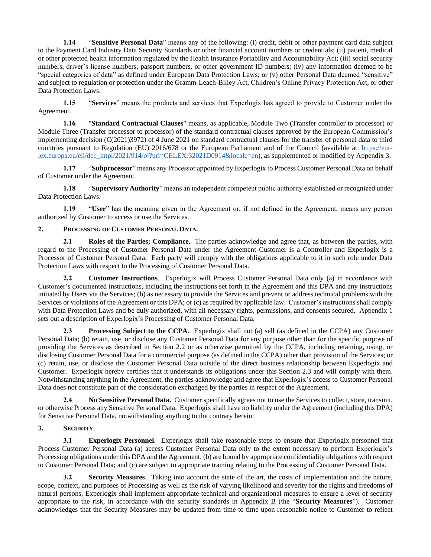**1.14** "**Sensitive Personal Data**" means any of the following: (i) credit, debit or other payment card data subject to the Payment Card Industry Data Security Standards or other financial account numbers or credentials; (ii) patient, medical or other protected health information regulated by the Health Insurance Portability and Accountability Act; (iii) social security numbers, driver's license numbers, passport numbers, or other government ID numbers; (iv) any information deemed to be "special categories of data" as defined under European Data Protection Laws; or (v) other Personal Data deemed "sensitive" and subject to regulation or protection under the Gramm-Leach-Bliley Act, Children's Online Privacy Protection Act, or other Data Protection Laws.

**1.15** "**Services**" means the products and services that Experlogix has agreed to provide to Customer under the Agreement.

**1.16** "**Standard Contractual Clauses**" means, as applicable, Module Two (Transfer controller to processor) or Module Three (Transfer processor to processor) of the standard contractual clauses approved by the European Commission's implementing decision (C(2021)3972) of 4 June 2021 on standard contractual clauses for the transfer of personal data to third countries pursuant to Regulation (EU) 2016/678 or the European Parliament and of the Council (available at: [https://eur](https://eur-lex.europa.eu/eli/dec_impl/2021/914/oj?uri=CELEX:32021D0914&locale=en)[lex.europa.eu/eli/dec\\_impl/2021/914/oj?uri=CELEX:32021D0914&locale=en\)](https://eur-lex.europa.eu/eli/dec_impl/2021/914/oj?uri=CELEX:32021D0914&locale=en), as supplemented or modified by Appendix 3.

**1.17** "**Subprocessor**" means any Processor appointed by Experlogix to Process Customer Personal Data on behalf of Customer under the Agreement.

**1.18** "**Supervisory Authority**" means an independent competent public authority established or recognized under Data Protection Laws.

**1.19** "**User**" has the meaning given in the Agreement or, if not defined in the Agreement, means any person authorized by Customer to access or use the Services.

# **2. PROCESSING OF CUSTOMER PERSONAL DATA.**

**2.1 Roles of the Parties; Compliance**. The parties acknowledge and agree that, as between the parties, with regard to the Processing of Customer Personal Data under the Agreement Customer is a Controller and Experlogix is a Processor of Customer Personal Data. Each party will comply with the obligations applicable to it in such role under Data Protection Laws with respect to the Processing of Customer Personal Data.

**2.2 Customer Instructions**. Experlogix will Process Customer Personal Data only (a) in accordance with Customer's documented instructions, including the instructions set forth in the Agreement and this DPA and any instructions initiated by Users via the Services; (b) as necessary to provide the Services and prevent or address technical problems with the Services or violations of the Agreement or this DPA; or (c) as required by applicable law. Customer's instructions shall comply with Data Protection Laws and be duly authorized, with all necessary rights, permissions, and consents secured. Appendix 1 sets out a description of Experlogix's Processing of Customer Personal Data.

**2.3 Processing Subject to the CCPA**. Experlogix shall not (a) sell (as defined in the CCPA) any Customer Personal Data; (b) retain, use, or disclose any Customer Personal Data for any purpose other than for the specific purpose of providing the Services as described in Section 2.2 or as otherwise permitted by the CCPA, including retaining, using, or disclosing Customer Personal Data for a commercial purpose (as defined in the CCPA) other than provision of the Services; or (c) retain, use, or disclose the Customer Personal Data outside of the direct business relationship between Experlogix and Customer. Experlogix hereby certifies that it understands its obligations under this Section 2.3 and will comply with them. Notwithstanding anything in the Agreement, the parties acknowledge and agree that Experlogix's access to Customer Personal Data does not constitute part of the consideration exchanged by the parties in respect of the Agreement.

**2.4 No Sensitive Personal Data.** Customer specifically agrees not to use the Services to collect, store, transmit, or otherwise Process any Sensitive Personal Data. Experlogix shall have no liability under the Agreement (including this DPA) for Sensitive Personal Data, notwithstanding anything to the contrary herein.

## **3. SECURITY**.

**3.1 Experlogix Personnel**. Experlogix shall take reasonable steps to ensure that Experlogix personnel that Process Customer Personal Data (a) access Customer Personal Data only to the extent necessary to perform Experlogix's Processing obligations under this DPA and the Agreement; (b) are bound by appropriate confidentiality obligations with respect to Customer Personal Data; and (c) are subject to appropriate training relating to the Processing of Customer Personal Data.

**3.2 Security Measures**. Taking into account the state of the art, the costs of implementation and the nature, scope, context, and purposes of Processing as well as the risk of varying likelihood and severity for the rights and freedoms of natural persons, Experlogix shall implement appropriate technical and organizational measures to ensure a level of security appropriate to the risk, in accordance with the security standards in Appendix B (the "**Security Measures**"). Customer acknowledges that the Security Measures may be updated from time to time upon reasonable notice to Customer to reflect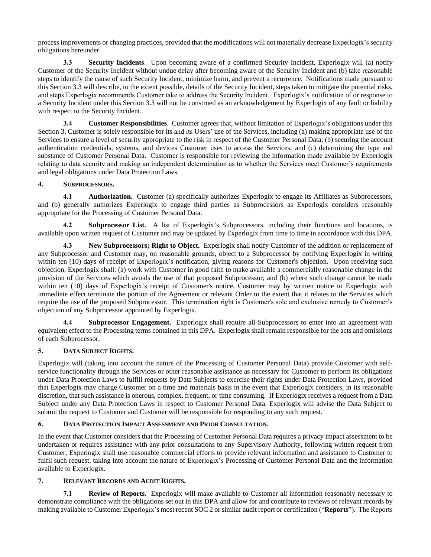process improvements or changing practices, provided that the modifications will not materially decrease Experlogix's security obligations hereunder.

**3.3 Security Incidents**. Upon becoming aware of a confirmed Security Incident, Experlogix will (a) notify Customer of the Security Incident without undue delay after becoming aware of the Security Incident and (b) take reasonable steps to identify the cause of such Security Incident, minimize harm, and prevent a recurrence. Notifications made pursuant to this Section 3.3 will describe, to the extent possible, details of the Security Incident, steps taken to mitigate the potential risks, and steps Experlogix recommends Customer take to address the Security Incident. Experlogix's notification of or response to a Security Incident under this Section 3.3 will not be construed as an acknowledgement by Experlogix of any fault or liability with respect to the Security Incident.

**3.4 Customer Responsibilities**. Customer agrees that, without limitation of Experlogix's obligations under this Section 3, Customer is solely responsible for its and its Users' use of the Services, including (a) making appropriate use of the Services to ensure a level of security appropriate to the risk in respect of the Customer Personal Data; (b) securing the account authentication credentials, systems, and devices Customer uses to access the Services; and (c) determining the type and substance of Customer Personal Data. Customer is responsible for reviewing the information made available by Experlogix relating to data security and making an independent determination as to whether the Services meet Customer's requirements and legal obligations under Data Protection Laws.

## **4. SUBPROCESSORS.**

**4.1 Authorization.** Customer (a) specifically authorizes Experlogix to engage its Affiliates as Subprocessors, and (b) generally authorizes Experlogix to engage third parties as Subprocessors as Experlogix considers reasonably appropriate for the Processing of Customer Personal Data.

**4.2 Subprocessor List.** A list of Experlogix's Subprocessors, including their functions and locations, is available upon written request of Customer and may be updated by Experlogix from time to time in accordance with this DPA.

**4.3 New Subprocessors; Right to Object.** Experlogix shall notify Customer of the addition or replacement of any Subprocessor and Customer may, on reasonable grounds, object to a Subprocessor by notifying Experlogix in writing within ten (10) days of receipt of Experlogix's notification, giving reasons for Customer's objection. Upon receiving such objection, Experlogix shall: (a) work with Customer in good faith to make available a commercially reasonable change in the provision of the Services which avoids the use of that proposed Subprocessor; and (b) where such change cannot be made within ten (10) days of Experlogix's receipt of Customer's notice, Customer may by written notice to Experlogix with immediate effect terminate the portion of the Agreement or relevant Order to the extent that it relates to the Services which require the use of the proposed Subprocessor. This termination right is Customer's sole and exclusive remedy to Customer's objection of any Subprocessor appointed by Experlogix.

**4.4 Subprocessor Engagement.** Experlogix shall require all Subprocessors to enter into an agreement with equivalent effect to the Processing terms contained in this DPA. Experlogix shall remain responsible for the acts and omissions of each Subprocessor.

## **5. DATA SUBJECT RIGHTS.**

Experlogix will (taking into account the nature of the Processing of Customer Personal Data) provide Customer with selfservice functionality through the Services or other reasonable assistance as necessary for Customer to perform its obligations under Data Protection Laws to fulfill requests by Data Subjects to exercise their rights under Data Protection Laws, provided that Experlogix may charge Customer on a time and materials basis in the event that Experlogix considers, in its reasonable discretion, that such assistance is onerous, complex, frequent, or time consuming. If Experlogix receives a request from a Data Subject under any Data Protection Laws in respect to Customer Personal Data, Experlogix will advise the Data Subject to submit the request to Customer and Customer will be responsible for responding to any such request.

# **6. DATA PROTECTION IMPACT ASSESSMENT AND PRIOR CONSULTATION.**

In the event that Customer considers that the Processing of Customer Personal Data requires a privacy impact assessment to be undertaken or requires assistance with any prior consultations to any Supervisory Authority, following written request from Customer, Experlogix shall use reasonable commercial efforts to provide relevant information and assistance to Customer to fulfil such request, taking into account the nature of Experlogix's Processing of Customer Personal Data and the information available to Experlogix.

## **7. RELEVANT RECORDS AND AUDIT RIGHTS.**

**7.1 Review of Reports.** Experlogix will make available to Customer all information reasonably necessary to demonstrate compliance with the obligations set out in this DPA and allow for and contribute to reviews of relevant records by making available to Customer Experlogix's most recent SOC 2 or similar audit report or certification ("**Reports**"). The Reports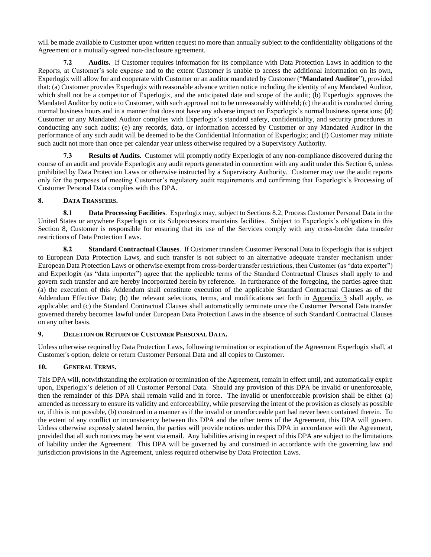will be made available to Customer upon written request no more than annually subject to the confidentiality obligations of the Agreement or a mutually-agreed non-disclosure agreement.

**7.2 Audits.** If Customer requires information for its compliance with Data Protection Laws in addition to the Reports, at Customer's sole expense and to the extent Customer is unable to access the additional information on its own, Experlogix will allow for and cooperate with Customer or an auditor mandated by Customer ("**Mandated Auditor**"), provided that: (a) Customer provides Experlogix with reasonable advance written notice including the identity of any Mandated Auditor, which shall not be a competitor of Experlogix, and the anticipated date and scope of the audit; (b) Experlogix approves the Mandated Auditor by notice to Customer, with such approval not to be unreasonably withheld; (c) the audit is conducted during normal business hours and in a manner that does not have any adverse impact on Experlogix's normal business operations; (d) Customer or any Mandated Auditor complies with Experlogix's standard safety, confidentiality, and security procedures in conducting any such audits; (e) any records, data, or information accessed by Customer or any Mandated Auditor in the performance of any such audit will be deemed to be the Confidential Information of Experlogix; and (f) Customer may initiate such audit not more than once per calendar year unless otherwise required by a Supervisory Authority.

**7.3 Results of Audits.** Customer will promptly notify Experlogix of any non-compliance discovered during the course of an audit and provide Experlogix any audit reports generated in connection with any audit under this Section 6, unless prohibited by Data Protection Laws or otherwise instructed by a Supervisory Authority. Customer may use the audit reports only for the purposes of meeting Customer's regulatory audit requirements and confirming that Experlogix's Processing of Customer Personal Data complies with this DPA.

# **8. DATA TRANSFERS.**

**8.1 Data Processing Facilities**. Experlogix may, subject to Sections 8.2, Process Customer Personal Data in the United States or anywhere Experlogix or its Subprocessors maintains facilities. Subject to Experlogix's obligations in this Section 8, Customer is responsible for ensuring that its use of the Services comply with any cross-border data transfer restrictions of Data Protection Laws.

**8.2 Standard Contractual Clauses**. If Customer transfers Customer Personal Data to Experlogix that is subject to European Data Protection Laws, and such transfer is not subject to an alternative adequate transfer mechanism under European Data Protection Laws or otherwise exempt from cross-border transfer restrictions, then Customer (as "data exporter") and Experlogix (as "data importer") agree that the applicable terms of the Standard Contractual Clauses shall apply to and govern such transfer and are hereby incorporated herein by reference. In furtherance of the foregoing, the parties agree that: (a) the execution of this Addendum shall constitute execution of the applicable Standard Contractual Clauses as of the Addendum Effective Date; (b) the relevant selections, terms, and modifications set forth in Appendix 3 shall apply, as applicable; and (c) the Standard Contractual Clauses shall automatically terminate once the Customer Personal Data transfer governed thereby becomes lawful under European Data Protection Laws in the absence of such Standard Contractual Clauses on any other basis.

## **9. DELETION OR RETURN OF CUSTOMER PERSONAL DATA.**

Unless otherwise required by Data Protection Laws, following termination or expiration of the Agreement Experlogix shall, at Customer's option, delete or return Customer Personal Data and all copies to Customer.

# 10. **GENERAL TERMS.**

This DPA will, notwithstanding the expiration or termination of the Agreement, remain in effect until, and automatically expire upon, Experlogix's deletion of all Customer Personal Data. Should any provision of this DPA be invalid or unenforceable, then the remainder of this DPA shall remain valid and in force. The invalid or unenforceable provision shall be either (a) amended as necessary to ensure its validity and enforceability, while preserving the intent of the provision as closely as possible or, if this is not possible, (b) construed in a manner as if the invalid or unenforceable part had never been contained therein. To the extent of any conflict or inconsistency between this DPA and the other terms of the Agreement, this DPA will govern. Unless otherwise expressly stated herein, the parties will provide notices under this DPA in accordance with the Agreement, provided that all such notices may be sent via email. Any liabilities arising in respect of this DPA are subject to the limitations of liability under the Agreement. This DPA will be governed by and construed in accordance with the governing law and jurisdiction provisions in the Agreement, unless required otherwise by Data Protection Laws.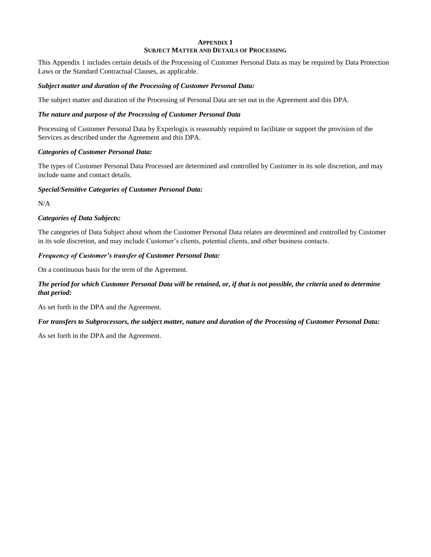#### **APPENDIX 1 SUBJECT MATTER AND DETAILS OF PROCESSING**

This Appendix 1 includes certain details of the Processing of Customer Personal Data as may be required by Data Protection Laws or the Standard Contractual Clauses, as applicable.

#### *Subject matter and duration of the Processing of Customer Personal Data:*

The subject matter and duration of the Processing of Personal Data are set out in the Agreement and this DPA.

## *The nature and purpose of the Processing of Customer Personal Data*

Processing of Customer Personal Data by Experlogix is reasonably required to facilitate or support the provision of the Services as described under the Agreement and this DPA.

#### *Categories of Customer Personal Data:*

The types of Customer Personal Data Processed are determined and controlled by Customer in its sole discretion, and may include name and contact details.

#### *Special/Sensitive Categories of Customer Personal Data:*

N/A

## *Categories of Data Subjects:*

The categories of Data Subject about whom the Customer Personal Data relates are determined and controlled by Customer in its sole discretion, and may include Customer's clients, potential clients, and other business contacts.

#### *Frequency of Customer's transfer of Customer Personal Data:*

On a continuous basis for the term of the Agreement.

# *The period for which Customer Personal Data will be retained, or, if that is not possible, the criteria used to determine that period:*

As set forth in the DPA and the Agreement.

## *For transfers to Subprocessors, the subject matter, nature and duration of the Processing of Customer Personal Data:*

As set forth in the DPA and the Agreement.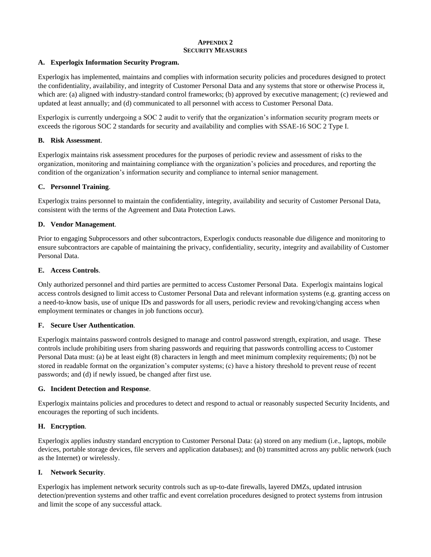## **APPENDIX 2 SECURITY MEASURES**

## **A. Experlogix Information Security Program.**

Experlogix has implemented, maintains and complies with information security policies and procedures designed to protect the confidentiality, availability, and integrity of Customer Personal Data and any systems that store or otherwise Process it, which are: (a) aligned with industry-standard control frameworks; (b) approved by executive management; (c) reviewed and updated at least annually; and (d) communicated to all personnel with access to Customer Personal Data.

Experlogix is currently undergoing a SOC 2 audit to verify that the organization's information security program meets or exceeds the rigorous SOC 2 standards for security and availability and complies with SSAE-16 SOC 2 Type I.

## **B. Risk Assessment**.

Experlogix maintains risk assessment procedures for the purposes of periodic review and assessment of risks to the organization, monitoring and maintaining compliance with the organization's policies and procedures, and reporting the condition of the organization's information security and compliance to internal senior management.

# **C. Personnel Training**.

Experlogix trains personnel to maintain the confidentiality, integrity, availability and security of Customer Personal Data, consistent with the terms of the Agreement and Data Protection Laws.

# **D. Vendor Management**.

Prior to engaging Subprocessors and other subcontractors, Experlogix conducts reasonable due diligence and monitoring to ensure subcontractors are capable of maintaining the privacy, confidentiality, security, integrity and availability of Customer Personal Data.

## **E. Access Controls**.

Only authorized personnel and third parties are permitted to access Customer Personal Data. Experlogix maintains logical access controls designed to limit access to Customer Personal Data and relevant information systems (e.g. granting access on a need-to-know basis, use of unique IDs and passwords for all users, periodic review and revoking/changing access when employment terminates or changes in job functions occur).

## **F. Secure User Authentication**.

Experlogix maintains password controls designed to manage and control password strength, expiration, and usage. These controls include prohibiting users from sharing passwords and requiring that passwords controlling access to Customer Personal Data must: (a) be at least eight (8) characters in length and meet minimum complexity requirements; (b) not be stored in readable format on the organization's computer systems; (c) have a history threshold to prevent reuse of recent passwords; and (d) if newly issued, be changed after first use.

## **G. Incident Detection and Response**.

Experlogix maintains policies and procedures to detect and respond to actual or reasonably suspected Security Incidents, and encourages the reporting of such incidents.

## **H. Encryption**.

Experlogix applies industry standard encryption to Customer Personal Data: (a) stored on any medium (i.e., laptops, mobile devices, portable storage devices, file servers and application databases); and (b) transmitted across any public network (such as the Internet) or wirelessly.

## **I. Network Security**.

Experlogix has implement network security controls such as up-to-date firewalls, layered DMZs, updated intrusion detection/prevention systems and other traffic and event correlation procedures designed to protect systems from intrusion and limit the scope of any successful attack.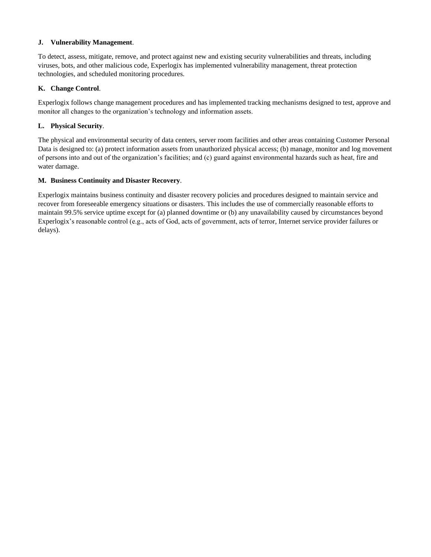## **J. Vulnerability Management**.

To detect, assess, mitigate, remove, and protect against new and existing security vulnerabilities and threats, including viruses, bots, and other malicious code, Experlogix has implemented vulnerability management, threat protection technologies, and scheduled monitoring procedures.

## **K. Change Control**.

Experlogix follows change management procedures and has implemented tracking mechanisms designed to test, approve and monitor all changes to the organization's technology and information assets.

# **L. Physical Security**.

The physical and environmental security of data centers, server room facilities and other areas containing Customer Personal Data is designed to: (a) protect information assets from unauthorized physical access; (b) manage, monitor and log movement of persons into and out of the organization's facilities; and (c) guard against environmental hazards such as heat, fire and water damage.

# **M. Business Continuity and Disaster Recovery**.

Experlogix maintains business continuity and disaster recovery policies and procedures designed to maintain service and recover from foreseeable emergency situations or disasters. This includes the use of commercially reasonable efforts to maintain 99.5% service uptime except for (a) planned downtime or (b) any unavailability caused by circumstances beyond Experlogix's reasonable control (e.g., acts of God, acts of government, acts of terror, Internet service provider failures or delays).